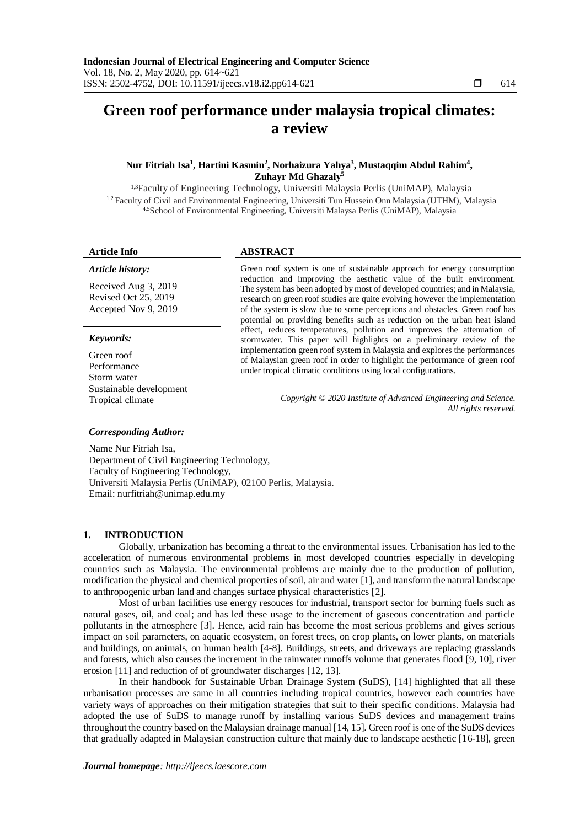# **Green roof performance under malaysia tropical climates: a review**

# **Nur Fitriah Isa<sup>1</sup> , Hartini Kasmin<sup>2</sup> , Norhaizura Yahya<sup>3</sup> , Mustaqqim Abdul Rahim<sup>4</sup> , Zuhayr Md Ghazaly<sup>5</sup>**

1,3Faculty of Engineering Technology, Universiti Malaysia Perlis (UniMAP), Malaysia <sup>1,2</sup> Faculty of Civil and Environmental Engineering, Universiti Tun Hussein Onn Malaysia (UTHM), Malaysia 4,5School of Environmental Engineering, Universiti Malaysa Perlis (UniMAP), Malaysia

# **Article Info ABSTRACT**

| Article history:                                                     | Green roof system is one of sustainable approach for energy consumption                                                                                                                                                                                                                                                                                                                            |
|----------------------------------------------------------------------|----------------------------------------------------------------------------------------------------------------------------------------------------------------------------------------------------------------------------------------------------------------------------------------------------------------------------------------------------------------------------------------------------|
| Received Aug 3, 2019<br>Revised Oct 25, 2019<br>Accepted Nov 9, 2019 | reduction and improving the aesthetic value of the built environment.<br>The system has been adopted by most of developed countries; and in Malaysia,<br>research on green roof studies are quite evolving however the implementation<br>of the system is slow due to some perceptions and obstacles. Green roof has<br>potential on providing benefits such as reduction on the urban heat island |
| Keywords:<br>Green roof<br>Performance                               | effect, reduces temperatures, pollution and improves the attenuation of<br>stormwater. This paper will highlights on a preliminary review of the<br>implementation green roof system in Malaysia and explores the performances<br>of Malaysian green roof in order to highlight the performance of green roof<br>under tropical climatic conditions using local configurations.                    |
| Storm water<br>Sustainable development<br>Tropical climate           | Copyright © 2020 Institute of Advanced Engineering and Science.<br>All rights reserved.                                                                                                                                                                                                                                                                                                            |

### *Corresponding Author:*

Name Nur Fitriah Isa, Department of Civil Engineering Technology, Faculty of Engineering Technology, Universiti Malaysia Perlis (UniMAP), 02100 Perlis, Malaysia. Email: nurfitriah@unimap.edu.my

# **1. INTRODUCTION**

Globally, urbanization has becoming a threat to the environmental issues. Urbanisation has led to the acceleration of numerous environmental problems in most developed countries especially in developing countries such as Malaysia. The environmental problems are mainly due to the production of pollution, modification the physical and chemical properties of soil, air and water [1], and transform the natural landscape to anthropogenic urban land and changes surface physical characteristics [2].

Most of urban facilities use energy resouces for industrial, transport sector for burning fuels such as natural gases, oil, and coal; and has led these usage to the increment of gaseous concentration and particle pollutants in the atmosphere [3]. Hence, acid rain has become the most serious problems and gives serious impact on soil parameters, on aquatic ecosystem, on forest trees, on crop plants, on lower plants, on materials and buildings, on animals, on human health [4-8]. Buildings, streets, and driveways are replacing grasslands and forests, which also causes the increment in the rainwater runoffs volume that generates flood [9, 10], river erosion [11] and reduction of of groundwater discharges [12, 13].

In their handbook for Sustainable Urban Drainage System (SuDS), [14] highlighted that all these urbanisation processes are same in all countries including tropical countries, however each countries have variety ways of approaches on their mitigation strategies that suit to their specific conditions. Malaysia had adopted the use of SuDS to manage runoff by installing various SuDS devices and management trains throughout the country based on the Malaysian drainage manual [14, 15]. Green roof is one of the SuDS devices that gradually adapted in Malaysian construction culture that mainly due to landscape aesthetic [16-18], green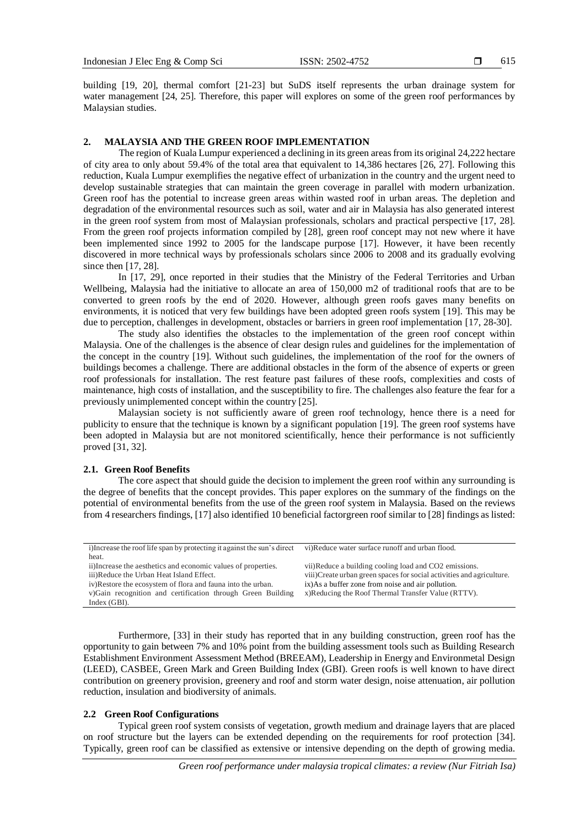615

building [19, 20], thermal comfort [21-23] but SuDS itself represents the urban drainage system for water management [24, 25]. Therefore, this paper will explores on some of the green roof performances by Malaysian studies.

# **2. MALAYSIA AND THE GREEN ROOF IMPLEMENTATION**

The region of Kuala Lumpur experienced a declining in its green areas from its original 24,222 hectare of city area to only about 59.4% of the total area that equivalent to 14,386 hectares [26, 27]. Following this reduction, Kuala Lumpur exemplifies the negative effect of urbanization in the country and the urgent need to develop sustainable strategies that can maintain the green coverage in parallel with modern urbanization. Green roof has the potential to increase green areas within wasted roof in urban areas. The depletion and degradation of the environmental resources such as soil, water and air in Malaysia has also generated interest in the green roof system from most of Malaysian professionals, scholars and practical perspective [17, 28]. From the green roof projects information compiled by [28], green roof concept may not new where it have been implemented since 1992 to 2005 for the landscape purpose [17]. However, it have been recently discovered in more technical ways by professionals scholars since 2006 to 2008 and its gradually evolving since then [17, 28].

In [17, 29], once reported in their studies that the Ministry of the Federal Territories and Urban Wellbeing, Malaysia had the initiative to allocate an area of 150,000 m2 of traditional roofs that are to be converted to green roofs by the end of 2020. However, although green roofs gaves many benefits on environments, it is noticed that very few buildings have been adopted green roofs system [19]. This may be due to perception, challenges in development, obstacles or barriers in green roof implementation [17, 28-30].

The study also identifies the obstacles to the implementation of the green roof concept within Malaysia. One of the challenges is the absence of clear design rules and guidelines for the implementation of the concept in the country [19]. Without such guidelines, the implementation of the roof for the owners of buildings becomes a challenge. There are additional obstacles in the form of the absence of experts or green roof professionals for installation. The rest feature past failures of these roofs, complexities and costs of maintenance, high costs of installation, and the susceptibility to fire. The challenges also feature the fear for a previously unimplemented concept within the country [25].

Malaysian society is not sufficiently aware of green roof technology, hence there is a need for publicity to ensure that the technique is known by a significant population [19]. The green roof systems have been adopted in Malaysia but are not monitored scientifically, hence their performance is not sufficiently proved [31, 32].

# **2.1. Green Roof Benefits**

The core aspect that should guide the decision to implement the green roof within any surrounding is the degree of benefits that the concept provides. This paper explores on the summary of the findings on the potential of environmental benefits from the use of the green roof system in Malaysia. Based on the reviews from 4 researchers findings, [17] also identified 10 beneficial factorgreen roof similar to [28] findings as listed:

| i) Increase the roof life span by protecting it against the sun's direct | vi)Reduce water surface runoff and urban flood.                       |
|--------------------------------------------------------------------------|-----------------------------------------------------------------------|
| heat.                                                                    |                                                                       |
| ii)Increase the aesthetics and economic values of properties.            | vii)Reduce a building cooling load and CO2 emissions.                 |
| iii)Reduce the Urban Heat Island Effect.                                 | viii)Create urban green spaces for social activities and agriculture. |
| iv)Restore the ecosystem of flora and fauna into the urban.              | ix) As a buffer zone from noise and air pollution.                    |
| v) Gain recognition and certification through Green Building             | x)Reducing the Roof Thermal Transfer Value (RTTV).                    |
| Index $(GBI)$ .                                                          |                                                                       |

Furthermore, [33] in their study has reported that in any building construction, green roof has the opportunity to gain between 7% and 10% point from the building assessment tools such as Building Research Establishment Environment Assessment Method (BREEAM), Leadership in Energy and Environmetal Design (LEED), CASBEE, Green Mark and Green Building Index (GBI). Green roofs is well known to have direct contribution on greenery provision, greenery and roof and storm water design, noise attenuation, air pollution reduction, insulation and biodiversity of animals.

# **2.2 Green Roof Configurations**

Typical green roof system consists of vegetation, growth medium and drainage layers that are placed on roof structure but the layers can be extended depending on the requirements for roof protection [34]. Typically, green roof can be classified as extensive or intensive depending on the depth of growing media.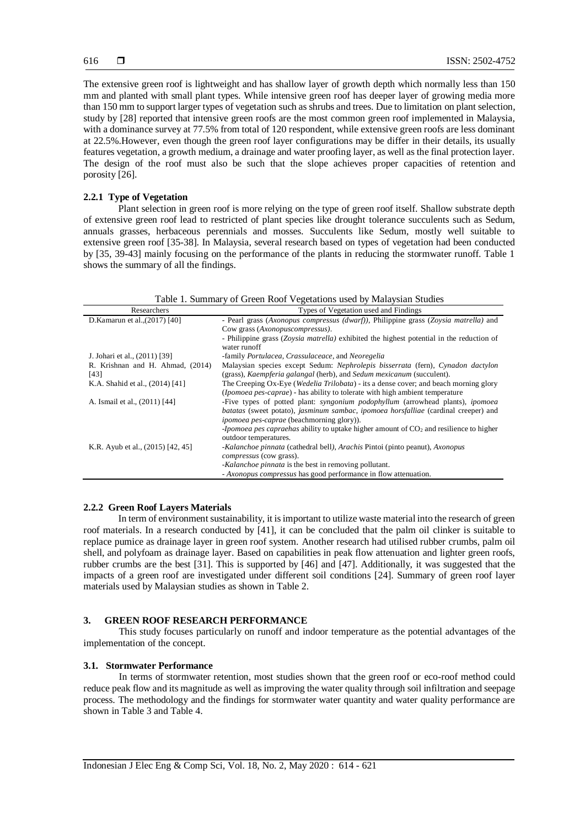The extensive green roof is lightweight and has shallow layer of growth depth which normally less than 150 mm and planted with small plant types. While intensive green roof has deeper layer of growing media more than 150 mm to support larger types of vegetation such as shrubs and trees. Due to limitation on plant selection, study by [28] reported that intensive green roofs are the most common green roof implemented in Malaysia, with a dominance survey at 77.5% from total of 120 respondent, while extensive green roofs are less dominant at 22.5%.However, even though the green roof layer configurations may be differ in their details, its usually features vegetation, a growth medium, a drainage and water proofing layer, as well as the final protection layer. The design of the roof must also be such that the slope achieves proper capacities of retention and porosity [26].

### **2.2.1 Type of Vegetation**

Plant selection in green roof is more relying on the type of green roof itself. Shallow substrate depth of extensive green roof lead to restricted of plant species like drought tolerance succulents such as Sedum, annuals grasses, herbaceous perennials and mosses. Succulents like Sedum, mostly well suitable to extensive green roof [35-38]. In Malaysia, several research based on types of vegetation had been conducted by [35, 39-43] mainly focusing on the performance of the plants in reducing the stormwater runoff. Table 1 shows the summary of all the findings.

| Researchers                              | $\epsilon$ , $\epsilon$ and $\epsilon$ and $\epsilon$ is the set of $\epsilon$ is the set of $\epsilon$<br>Types of Vegetation used and Findings                                                                                        |
|------------------------------------------|-----------------------------------------------------------------------------------------------------------------------------------------------------------------------------------------------------------------------------------------|
| D.Kamarun et al., (2017) [40]            | - Pearl grass (Axonopus compressus (dwarf)), Philippine grass (Zoysia matrella) and<br>Cow grass (Axonopuscompressus).                                                                                                                  |
|                                          | - Philippine grass (Zoysia matrella) exhibited the highest potential in the reduction of<br>water runoff                                                                                                                                |
| J. Johari et al., (2011) [39]            | -family <i>Portulacea, Crassulaceace</i> , and <i>Neoregelia</i>                                                                                                                                                                        |
| R. Krishnan and H. Ahmad, (2014)<br>[43] | Malaysian species except Sedum: Nephrolepis bisserrata (fern), Cynadon dactylon<br>(grass), <i>Kaempferia galangal</i> (herb), and <i>Sedum mexicanum</i> (succulent).                                                                  |
| K.A. Shahid et al., (2014) [41]          | The Creeping Ox-Eye ( <i>Wedelia Trilobata</i> ) - its a dense cover; and beach morning glory<br><i>(Ipomoea pes-caprae)</i> - has ability to tolerate with high ambient temperature                                                    |
| A. Ismail et al., (2011) [44]            | -Five types of potted plant: <i>syngonium podophyllum</i> (arrowhead plants), <i>ipomoea</i><br>batatas (sweet potato), jasminum sambac, ipomoea horsfalliae (cardinal creeper) and<br><i>ipomoea pes-caprae</i> (beachmorning glory)). |
|                                          | -Ipomoea pes capraehas ability to uptake higher amount of $CO2$ and resilience to higher<br>outdoor temperatures.                                                                                                                       |
| K.R. Ayub et al., (2015) [42, 45]        | -Kalanchoe pinnata (cathedral bell), Arachis Pintoi (pinto peanut), Axonopus<br>compressus (cow grass).                                                                                                                                 |
|                                          | -Kalanchoe pinnata is the best in removing pollutant.                                                                                                                                                                                   |
|                                          | - Axonopus compressus has good performance in flow attenuation.                                                                                                                                                                         |

#### Table 1. Summary of Green Roof Vegetations used by Malaysian Studies

#### **2.2.2 Green Roof Layers Materials**

In term of environment sustainability, it is important to utilize waste material into the research of green roof materials. In a research conducted by [41], it can be concluded that the palm oil clinker is suitable to replace pumice as drainage layer in green roof system. Another research had utilised rubber crumbs, palm oil shell, and polyfoam as drainage layer. Based on capabilities in peak flow attenuation and lighter green roofs, rubber crumbs are the best [31]. This is supported by [46] and [47]. Additionally, it was suggested that the impacts of a green roof are investigated under different soil conditions [24]. Summary of green roof layer materials used by Malaysian studies as shown in Table 2.

# **3. GREEN ROOF RESEARCH PERFORMANCE**

This study focuses particularly on runoff and indoor temperature as the potential advantages of the implementation of the concept.

#### **3.1. Stormwater Performance**

In terms of stormwater retention, most studies shown that the green roof or eco-roof method could reduce peak flow and its magnitude as well as improving the water quality through soil infiltration and seepage process. The methodology and the findings for stormwater water quantity and water quality performance are shown in Table 3 and Table 4.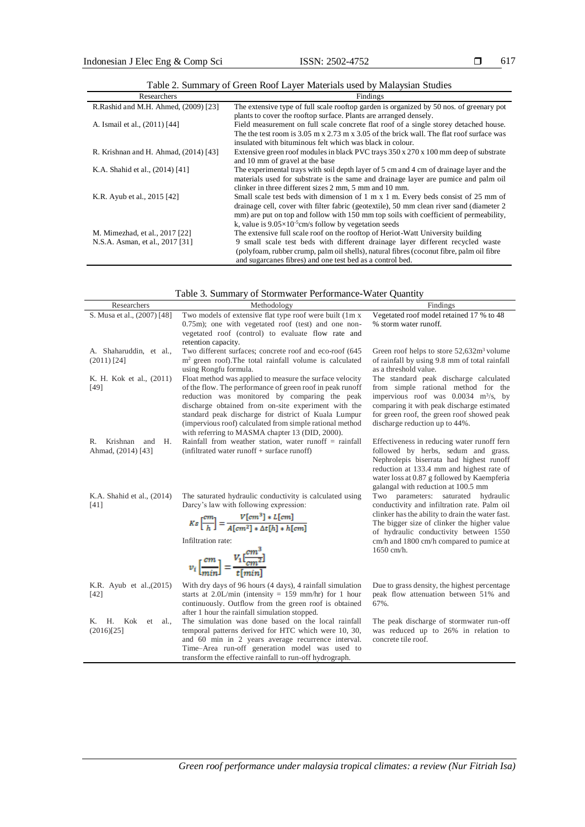| Researchers                           | Findings                                                                                         |
|---------------------------------------|--------------------------------------------------------------------------------------------------|
| R.Rashid and M.H. Ahmed, (2009) [23]  | The extensive type of full scale rooftop garden is organized by 50 nos. of greenary pot          |
|                                       | plants to cover the rooftop surface. Plants are arranged densely.                                |
| A. Ismail et al., (2011) [44]         | Field measurement on full scale concrete flat roof of a single storey detached house.            |
|                                       | The the test room is 3.05 m x 2.73 m x 3.05 of the brick wall. The flat roof surface was         |
|                                       | insulated with bituminous felt which was black in colour.                                        |
| R. Krishnan and H. Ahmad, (2014) [43] | Extensive green roof modules in black PVC trays $350 \times 270 \times 100$ mm deep of substrate |
|                                       | and 10 mm of gravel at the base                                                                  |
| K.A. Shahid et al., (2014) [41]       | The experimental trays with soil depth layer of 5 cm and 4 cm of drainage layer and the          |
|                                       | materials used for substrate is the same and drainage layer are pumice and palm oil              |
|                                       | clinker in three different sizes 2 mm, 5 mm and 10 mm.                                           |
| K.R. Ayub et al., 2015 [42]           | Small scale test beds with dimension of 1 m x 1 m. Every beds consist of 25 mm of                |
|                                       | drainage cell, cover with filter fabric (geotextile), 50 mm clean river sand (diameter 2)        |
|                                       | mm) are put on top and follow with 150 mm top soils with coefficient of permeability,            |
|                                       | k, value is $9.05 \times 10^{-5}$ cm/s follow by vegetation seeds                                |
| M. Mimezhad, et al., 2017 [22]        | The extensive full scale roof on the rooftop of Heriot-Watt University building                  |
| N.S.A. Asman, et al., 2017 [31]       | 9 small scale test beds with different drainage layer different recycled waste                   |
|                                       | (polyfoam, rubber crump, palm oil shells), natural fibres (coconut fibre, palm oil fibre         |
|                                       | and sugarcanes fibres) and one test bed as a control bed.                                        |

| Table 2. Summary of Green Roof Layer Materials used by Malaysian Studies |  |
|--------------------------------------------------------------------------|--|

| Table 3. Summary of Stormwater Performance-Water Quantity |  |
|-----------------------------------------------------------|--|
|                                                           |  |

| I able 5. Summary of Stormwater Performance-Water Quantity |                                                                                                                                                                                                                                                                                                                                                                                                      |                                                                                                                                                                                                                                                                                              |  |
|------------------------------------------------------------|------------------------------------------------------------------------------------------------------------------------------------------------------------------------------------------------------------------------------------------------------------------------------------------------------------------------------------------------------------------------------------------------------|----------------------------------------------------------------------------------------------------------------------------------------------------------------------------------------------------------------------------------------------------------------------------------------------|--|
| Researchers                                                | Methodology                                                                                                                                                                                                                                                                                                                                                                                          | Findings                                                                                                                                                                                                                                                                                     |  |
| S. Musa et al., (2007) [48]                                | Two models of extensive flat type roof were built (1m x<br>$0.75$ m); one with vegetated roof (test) and one non-<br>vegetated roof (control) to evaluate flow rate and<br>retention capacity.                                                                                                                                                                                                       | Vegetated roof model retained 17 % to 48<br>% storm water runoff.                                                                                                                                                                                                                            |  |
| A. Shaharuddin, et al.,<br>$(2011)$ [24]                   | Two different surfaces; concrete roof and eco-roof (645)<br>$m2$ green roof). The total rainfall volume is calculated<br>using Rongfu formula.                                                                                                                                                                                                                                                       | Green roof helps to store 52,632m <sup>3</sup> volume<br>of rainfall by using 9.8 mm of total rainfall<br>as a threshold value.                                                                                                                                                              |  |
| K. H. Kok et al., (2011)<br>$[49]$                         | Float method was applied to measure the surface velocity<br>of the flow. The performance of green roof in peak runoff<br>reduction was monitored by comparing the peak<br>discharge obtained from on-site experiment with the<br>standard peak discharge for district of Kuala Lumpur<br>(impervious roof) calculated from simple rational method<br>with referring to MASMA chapter 13 (DID, 2000). | The standard peak discharge calculated<br>from simple rational method for the<br>impervious roof was $0.0034$ m <sup>3</sup> /s, by<br>comparing it with peak discharge estimated<br>for green roof, the green roof showed peak<br>discharge reduction up to 44%.                            |  |
| Krishnan<br>R.<br>and<br>Н.<br>Ahmad, (2014) [43]          | Rainfall from weather station, water runoff $=$ rainfall<br>$(infiltered water runoff + surface runoff)$                                                                                                                                                                                                                                                                                             | Effectiveness in reducing water runoff fern<br>followed by herbs, sedum and grass.<br>Nephrolepis biserrata had highest runoff<br>reduction at 133.4 mm and highest rate of<br>water loss at 0.87 g followed by Kaempferia<br>galangal with reduction at 100.5 mm                            |  |
| K.A. Shahid et al., (2014)<br>[41]                         | The saturated hydraulic conductivity is calculated using<br>Darcy's law with following expression:<br>$Ks\left[\frac{cm}{h}\right] = \frac{V[cm^3] * L[cm]}{A[cm^2] * \Delta t[h] * h[cm]}$<br>Infiltration rate:<br>$v_i\left[\frac{cm}{min}\right]=\frac{V_1[\frac{cm^3}{cm^2}]}{t\lceil min^1\rceil}$                                                                                             | Two parameters: saturated hydraulic<br>conductivity and infiltration rate. Palm oil<br>clinker has the ability to drain the water fast.<br>The bigger size of clinker the higher value<br>of hydraulic conductivity between 1550<br>cm/h and 1800 cm/h compared to pumice at<br>$1650$ cm/h. |  |
| K.R. Ayub et al., (2015)<br>$[42]$                         | With dry days of 96 hours (4 days), 4 rainfall simulation<br>starts at 2.0L/min (intensity = $159$ mm/hr) for 1 hour<br>continuously. Outflow from the green roof is obtained<br>after 1 hour the rainfall simulation stopped.                                                                                                                                                                       | Due to grass density, the highest percentage<br>peak flow attenuation between 51% and<br>67%.                                                                                                                                                                                                |  |
| K. H.<br>Kok<br>et<br>al.,<br>(2016)[25]                   | The simulation was done based on the local rainfall<br>temporal patterns derived for HTC which were 10, 30,<br>and 60 min in 2 years average recurrence interval.<br>Time-Area run-off generation model was used to<br>transform the effective rainfall to run-off hydrograph.                                                                                                                       | The peak discharge of stormwater run-off<br>was reduced up to 26% in relation to<br>concrete tile roof.                                                                                                                                                                                      |  |

*Green roof performance under malaysia tropical climates: a review (Nur Fitriah Isa)*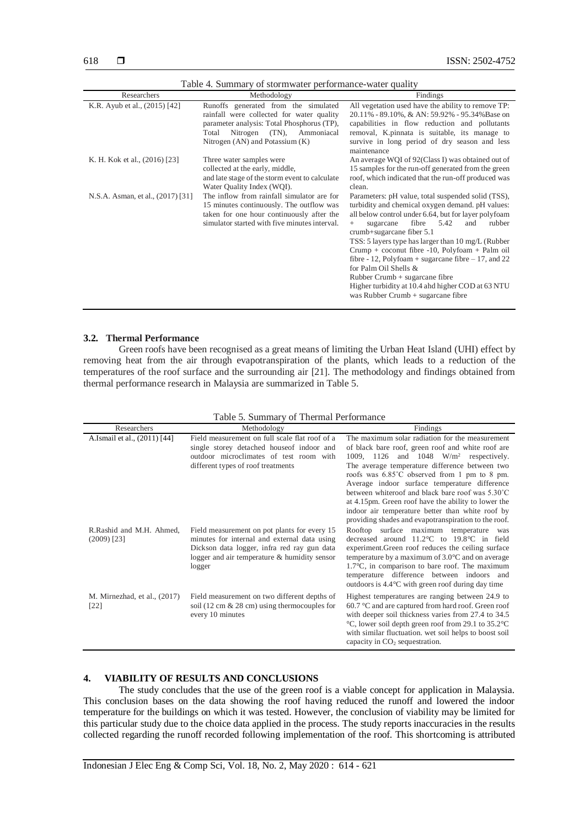| Researchers                       | Methodology                                                                                                                                                                                                       | Findings                                                                                                                                                                                                                                                                                                                                                                                                                                                                                                                                                                 |
|-----------------------------------|-------------------------------------------------------------------------------------------------------------------------------------------------------------------------------------------------------------------|--------------------------------------------------------------------------------------------------------------------------------------------------------------------------------------------------------------------------------------------------------------------------------------------------------------------------------------------------------------------------------------------------------------------------------------------------------------------------------------------------------------------------------------------------------------------------|
| K.R. Ayub et al., (2015) [42]     | Runoffs generated from the simulated<br>rainfall were collected for water quality<br>parameter analysis: Total Phosphorus (TP),<br>Nitrogen<br>$(TN)$ ,<br>Total<br>Ammoniacal<br>Nitrogen (AN) and Potassium (K) | All vegetation used have the ability to remove TP:<br>20.11% - 89.10%, & AN: 59.92% - 95.34% Base on<br>capabilities in flow reduction and pollutants<br>removal, K.pinnata is suitable, its manage to<br>survive in long period of dry season and less<br>maintenance                                                                                                                                                                                                                                                                                                   |
| K. H. Kok et al., (2016) [23]     | Three water samples were<br>collected at the early, middle,<br>and late stage of the storm event to calculate<br>Water Quality Index (WQI).                                                                       | An average WQI of 92(Class I) was obtained out of<br>15 samples for the run-off generated from the green<br>roof, which indicated that the run-off produced was<br>clean.                                                                                                                                                                                                                                                                                                                                                                                                |
| N.S.A. Asman, et al., (2017) [31] | The inflow from rainfall simulator are for<br>15 minutes continuously. The outflow was<br>taken for one hour continuously after the<br>simulator started with five minutes interval.                              | Parameters: pH value, total suspended solid (TSS),<br>turbidity and chemical oxygen demand. pH values:<br>all below control under 6.64, but for layer polyfoam<br>fibre<br>5.42<br>rubber<br>sugarcane<br>and<br>crumb+sugarcane fiber 5.1<br>TSS: 5 layers type has larger than 10 mg/L (Rubber<br>Crump + coconut fibre $-10$ , Polyfoam + Palm oil<br>fibre - 12, Polyfoam + sugarcane fibre $-17$ , and 22<br>for Palm Oil Shells &<br>$Rubber$ Crumb + sugarcane fibre<br>Higher turbidity at 10.4 ahd higher COD at 63 NTU<br>was Rubber Crumb $+$ sugarcane fibre |

Table 4. Summary of stormwater performance-water quality

## **3.2. Thermal Performance**

Green roofs have been recognised as a great means of limiting the Urban Heat Island (UHI) effect by removing heat from the air through evapotranspiration of the plants, which leads to a reduction of the temperatures of the roof surface and the surrounding air [21]. The methodology and findings obtained from thermal performance research in Malaysia are summarized in Table 5.

Table 5. Summary of Thermal Performance

| Researchers                               | Methodology                                                                                                                                                                                           | Findings                                                                                                                                                                                                                                                                                                                                                                                                                                                                                                                    |
|-------------------------------------------|-------------------------------------------------------------------------------------------------------------------------------------------------------------------------------------------------------|-----------------------------------------------------------------------------------------------------------------------------------------------------------------------------------------------------------------------------------------------------------------------------------------------------------------------------------------------------------------------------------------------------------------------------------------------------------------------------------------------------------------------------|
| A.Ismail et al., (2011) [44]              | Field measurement on full scale flat roof of a<br>single storey detached house of indoor and<br>outdoor microclimates of test room with<br>different types of roof treatments                         | The maximum solar radiation for the measurement<br>of black bare roof, green roof and white roof are<br>1009, 1126 and 1048 $W/m^2$ respectively.<br>The average temperature difference between two<br>roofs was 6.85°C observed from 1 pm to 8 pm.<br>Average indoor surface temperature difference<br>between whiteroof and black bare roof was 5.30°C<br>at 4.15pm. Green roof have the ability to lower the<br>indoor air temperature better than white roof by<br>providing shades and evapotranspiration to the roof. |
| R.Rashid and M.H. Ahmed.<br>$(2009)$ [23] | Field measurement on pot plants for every 15<br>minutes for internal and external data using<br>Dickson data logger, infra red ray gun data<br>logger and air temperature & humidity sensor<br>logger | Rooftop surface maximum temperature was<br>decreased around 11.2°C to 19.8°C in field<br>experiment. Green roof reduces the ceiling surface<br>temperature by a maximum of $3.0^{\circ}$ C and on average<br>$1.7^{\circ}$ C, in comparison to bare roof. The maximum<br>temperature difference between indoors and<br>outdoors is $4.4^{\circ}$ C with green roof during day time                                                                                                                                          |
| M. Mirnezhad, et al., (2017)<br>$[22]$    | Field measurement on two different depths of<br>soil (12 cm $\&$ 28 cm) using thermocouples for<br>every 10 minutes                                                                                   | Highest temperatures are ranging between 24.9 to<br>60.7 °C and are captured from hard roof. Green roof<br>with deeper soil thickness varies from 27.4 to 34.5<br>°C, lower soil depth green roof from 29.1 to 35.2 °C<br>with similar fluctuation, wet soil helps to boost soil<br>capacity in $CO2$ sequestration.                                                                                                                                                                                                        |

# **4. VIABILITY OF RESULTS AND CONCLUSIONS**

The study concludes that the use of the green roof is a viable concept for application in Malaysia. This conclusion bases on the data showing the roof having reduced the runoff and lowered the indoor temperature for the buildings on which it was tested. However, the conclusion of viability may be limited for this particular study due to the choice data applied in the process. The study reports inaccuracies in the results collected regarding the runoff recorded following implementation of the roof. This shortcoming is attributed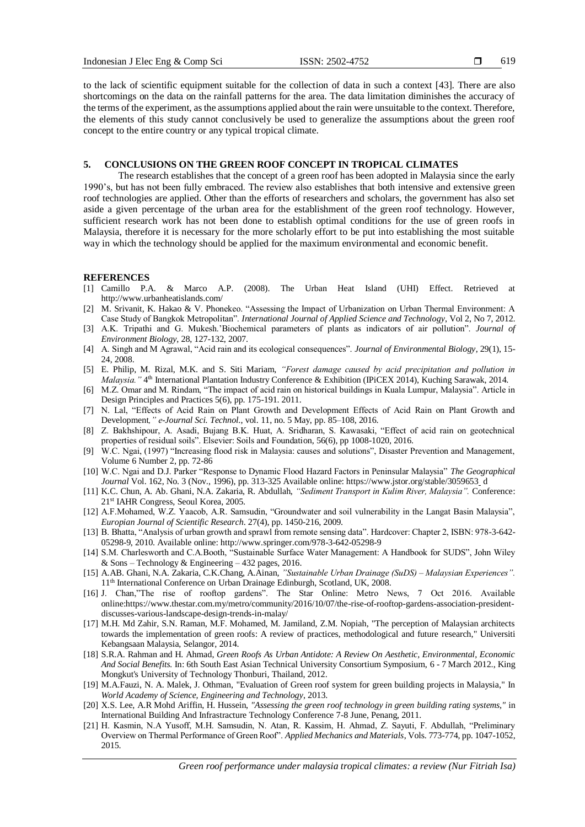619

to the lack of scientific equipment suitable for the collection of data in such a context [43]. There are also shortcomings on the data on the rainfall patterns for the area. The data limitation diminishes the accuracy of the terms of the experiment, as the assumptions applied about the rain were unsuitable to the context. Therefore, the elements of this study cannot conclusively be used to generalize the assumptions about the green roof concept to the entire country or any typical tropical climate.

#### **5. CONCLUSIONS ON THE GREEN ROOF CONCEPT IN TROPICAL CLIMATES**

The research establishes that the concept of a green roof has been adopted in Malaysia since the early 1990's, but has not been fully embraced. The review also establishes that both intensive and extensive green roof technologies are applied. Other than the efforts of researchers and scholars, the government has also set aside a given percentage of the urban area for the establishment of the green roof technology. However, sufficient research work has not been done to establish optimal conditions for the use of green roofs in Malaysia, therefore it is necessary for the more scholarly effort to be put into establishing the most suitable way in which the technology should be applied for the maximum environmental and economic benefit.

#### **REFERENCES**

- [1] Camillo P.A. & Marco A.P. (2008). The Urban Heat Island (UHI) Effect. Retrieved at http://www.urbanheatislands.com/
- [2] M. Srivanit, K. Hakao & V. Phonekeo. "Assessing the Impact of Urbanization on Urban Thermal Environment: A Case Study of Bangkok Metropolitan". *International Journal of Applied Science and Technology*, Vol 2, No 7, 2012.
- [3] A.K. Tripathi and G. Mukesh.'Biochemical parameters of plants as indicators of air pollution". *Journal of Environment Biology*, 28, 127-132, 2007.
- [4] A. Singh and M Agrawal, "Acid rain and its ecological consequences". *Journal of Environmental Biology*, 29(1), 15- 24, 2008.
- [5] E. Philip, M. Rizal, M.K. and S. Siti Mariam, *"Forest damage caused by acid precipitation and pollution in*  Malaysia." 4<sup>th</sup> International Plantation Industry Conference & Exhibition (IPiCEX 2014), Kuching Sarawak, 2014.
- [6] M.Z. Omar and M. Rindam, "The impact of acid rain on historical buildings in Kuala Lumpur, Malaysia". Article in Design Principles and Practices 5(6), pp. 175-191. 2011.
- [7] N. Lal, "Effects of Acid Rain on Plant Growth and Development Effects of Acid Rain on Plant Growth and Development*," e-Journal Sci. Technol*., vol. 11, no. 5 May, pp. 85–108, 2016.
- [8] Z. Bakhshipour, A. Asadi, Bujang B.K. Huat, A. Sridharan, S. Kawasaki, "Effect of acid rain on geotechnical properties of residual soils". Elsevier: Soils and Foundation, 56(6), pp 1008-1020, 2016.
- [9] W.C. Ngai, (1997) "Increasing flood risk in Malaysia: causes and solutions", Disaster Prevention and Management, Volume 6 Number 2, pp. 72-86
- [10] W.C. Ngai and D.J. Parker "Response to Dynamic Flood Hazard Factors in Peninsular Malaysia" *The Geographical Journal* Vol. 162, No. 3 (Nov., 1996), pp. 313-325 Available online: https://www.jstor.org/stable/3059653 d
- [11] K.C. Chun, A. Ab. Ghani, N.A. Zakaria, R. Abdullah, *"Sediment Transport in Kulim River, Malaysia".* Conference: 21st IAHR Congress, Seoul Korea, 2005.
- [12] A.F.Mohamed, W.Z. Yaacob, A.R. Samsudin, "Groundwater and soil vulnerability in the Langat Basin Malaysia", *Europian Journal of Scientific Research*. 27(4), pp. 1450-216, 2009.
- [13] B. Bhatta, "Analysis of urban growth and sprawl from remote sensing data". Hardcover: Chapter 2, ISBN: 978-3-642- 05298-9, 2010. Available online[: http://www.springer.com/978-3-642-05298-9](http://www.springer.com/978-3-642-05298-9)
- [14] S.M. Charlesworth and C.A.Booth, "Sustainable Surface Water Management: A Handbook for SUDS", John Wiley & Sons – Technology & Engineering – 432 pages, 2016.
- [15] A.AB. Ghani, N.A. Zakaria, C.K.Chang, A.Ainan, *"Sustainable Urban Drainage (SuDS) – Malaysian Experiences".* 11th International Conference on Urban Drainage Edinburgh, Scotland, UK, 2008.
- [16] J. Chan,"The rise of rooftop gardens". The Star Online: Metro News, 7 Oct 2016. Available online:https://www.thestar.com.my/metro/community/2016/10/07/the-rise-of-rooftop-gardens-association-presidentdiscusses-various-landscape-design-trends-in-malay/
- [17] M.H. Md Zahir, S.N. Raman, M.F. Mohamed, M. Jamiland, Z.M. Nopiah, "The perception of Malaysian architects towards the implementation of green roofs: A review of practices, methodological and future research," Universiti Kebangsaan Malaysia, Selangor, 2014.
- [18] S.R.A. Rahman and H. Ahmad, *Green Roofs As Urban Antidote: A Review On Aesthetic, Environmental, Economic And Social Benefits.* In: 6th South East Asian Technical University Consortium Symposium, 6 - 7 March 2012., King Mongkut's University of Technology Thonburi, Thailand, 2012.
- [19] M.A.Fauzi, N. A. Malek, J. Othman, "Evaluation of Green roof system for green building projects in Malaysia," In *World Academy of Science, Engineering and Technology*, 2013.
- [20] X.S. Lee, A.R Mohd Ariffin, H. Hussein, *"Assessing the green roof technology in green building rating systems,"* in International Building And Infrastracture Technology Conference 7-8 June, Penang, 2011.
- [21] H. Kasmin, N.A Yusoff, M.H. Samsudin, N. Atan, R. Kassim, H. Ahmad, Z. Sayuti, F. Abdullah, "Preliminary Overview on Thermal Performance of Green Roof". *Applied Mechanics and Materials*, Vols. 773-774, pp. 1047-1052, 2015.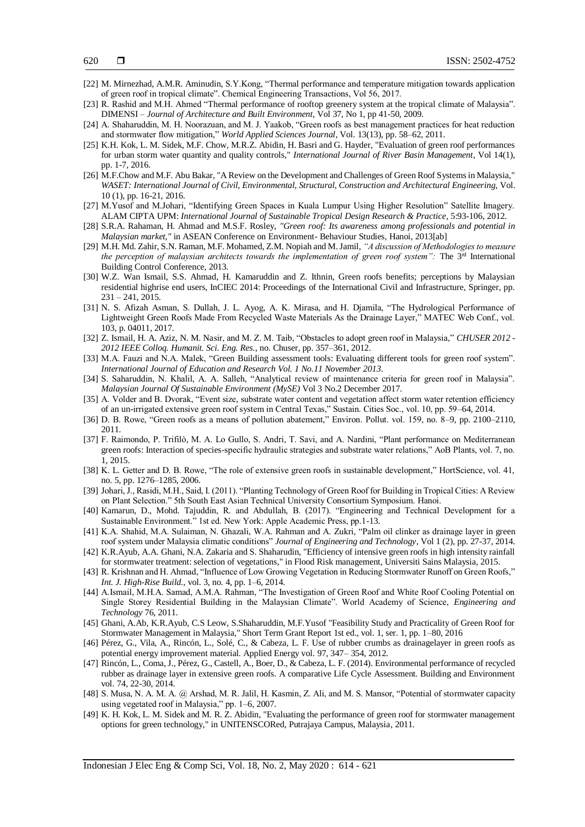- [22] M. Mirnezhad, A.M.R. Aminudin, S.Y.Kong, "Thermal performance and temperature mitigation towards application of green roof in tropical climate". Chemical Engineering Transactions, Vol 56, 2017.
- [23] R. Rashid and M.H. Ahmed "Thermal performance of rooftop greenery system at the tropical climate of Malaysia". DIMENSI – *Journal of Architecture and Built Environment*, Vol 37, No 1, pp 41-50, 2009.
- [24] A. Shaharuddin, M. H. Noorazuan, and M. J. Yaakob, "Green roofs as best management practices for heat reduction and stormwater flow mitigation," *World Applied Sciences Journal*, Vol. 13(13), pp. 58–62, 2011.
- [25] K.H. Kok, L. M. Sidek, M.F. Chow, M.R.Z. Abidin, H. Basri and G. Hayder, "Evaluation of green roof performances for urban storm water quantity and quality controls," *International Journal of River Basin Management*, Vol 14(1), pp. 1-7, 2016.
- [26] M.F.Chow and M.F. Abu Bakar, "A Review on the Development and Challenges of Green Roof Systems in Malaysia," *WASET: International Journal of Civil, Environmental, Structural, Construction and Architectural Engineering*, Vol. 10 (1), pp. 16-21, 2016.
- [27] M.Yusof and M.Johari, "Identifying Green Spaces in Kuala Lumpur Using Higher Resolution" Satellite Imagery. ALAM CIPTA UPM: *International Journal of Sustainable Tropical Design Research & Practice*, 5:93-106, 2012.
- [28] S.R.A. Rahaman, H. Ahmad and M.S.F. Rosley, *"Green roof: Its awareness among professionals and potential in Malaysian market,"* in ASEAN Conference on Environment- Behaviour Studies, Hanoi, 2013[ab]
- [29] M.H. Md. Zahir, S.N. Raman, M.F. Mohamed, Z.M. Nopiah and M. Jamil, *"A discussion of Methodologies to measure the perception of malaysian architects towards the implementation of green roof system":* The 3rd International Building Control Conference, 2013.
- [30] W.Z. Wan Ismail, S.S. Ahmad, H. Kamaruddin and Z. Ithnin, Green roofs benefits; perceptions by Malaysian residential highrise end users, InCIEC 2014: Proceedings of the International Civil and Infrastructure, Springer, pp. 231 – 241, 2015.
- [31] N. S. Afizah Asman, S. Dullah, J. L. Ayog, A. K. Mirasa, and H. Djamila, "The Hydrological Performance of Lightweight Green Roofs Made From Recycled Waste Materials As the Drainage Layer," MATEC Web Conf., vol. 103, p. 04011, 2017.
- [32] Z. Ismail, H. A. Aziz, N. M. Nasir, and M. Z. M. Taib, "Obstacles to adopt green roof in Malaysia," *CHUSER 2012 - 2012 IEEE Colloq. Humanit. Sci. Eng. Res.*, no. Chuser, pp. 357–361, 2012.
- [33] M.A. Fauzi and N.A. Malek, "Green Building assessment tools: Evaluating different tools for green roof system". *International Journal of Education and Research Vol. 1 No.11 November 2013*.
- [34] S. Saharuddin, N. Khalil, A. A. Salleh, "Analytical review of maintenance criteria for green roof in Malaysia". *Malaysian Journal Of Sustainable Environment (MySE)* Vol 3 No.2 December 2017.
- [35] A. Volder and B. Dvorak, "Event size, substrate water content and vegetation affect storm water retention efficiency of an un-irrigated extensive green roof system in Central Texas," Sustain. Cities Soc., vol. 10, pp. 59–64, 2014.
- [36] D. B. Rowe, "Green roofs as a means of pollution abatement," Environ. Pollut. vol. 159, no. 8–9, pp. 2100–2110, 2011.
- [37] F. Raimondo, P. Trifilò, M. A. Lo Gullo, S. Andri, T. Savi, and A. Nardini, "Plant performance on Mediterranean green roofs: Interaction of species-specific hydraulic strategies and substrate water relations," AoB Plants, vol. 7, no. 1, 2015.
- [38] K. L. Getter and D. B. Rowe, "The role of extensive green roofs in sustainable development," HortScience, vol. 41, no. 5, pp. 1276–1285, 2006.
- [39] Johari, J., Rasidi, M.H., Said, I. (2011). "Planting Technology of Green Roof for Building in Tropical Cities: A Review on Plant Selection." 5th South East Asian Technical University Consortium Symposium. Hanoi.
- [40] Kamarun, D., Mohd. Tajuddin, R. and Abdullah, B. (2017). "Engineering and Technical Development for a Sustainable Environment." 1st ed. New York: Apple Academic Press, pp.1-13.
- [41] K.A. Shahid, M.A. Sulaiman, N. Ghazali, W.A. Rahman and A. Zukri, "Palm oil clinker as drainage layer in green roof system under Malaysia climatic conditions" *Journal of Engineering and Technology*, Vol 1 (2), pp. 27-37, 2014.
- [42] K.R.Ayub, A.A. Ghani, N.A. Zakaria and S. Shaharudin, "Efficiency of intensive green roofs in high intensity rainfall for stormwater treatment: selection of vegetations," in Flood Risk management, Universiti Sains Malaysia, 2015.
- [43] R. Krishnan and H. Ahmad, "Influence of Low Growing Vegetation in Reducing Stormwater Runoff on Green Roofs," *Int. J. High-Rise Build.*, vol. 3, no. 4, pp. 1–6, 2014.
- [44] A.Ismail, M.H.A. Samad, A.M.A. Rahman, "The Investigation of Green Roof and White Roof Cooling Potential on Single Storey Residential Building in the Malaysian Climate". World Academy of Science, *Engineering and Technology* 76, 2011.
- [45] Ghani, A.Ab, K.R.Ayub, C.S Leow, S.Shaharuddin, M.F.Yusof "Feasibility Study and Practicality of Green Roof for Stormwater Management in Malaysia," Short Term Grant Report 1st ed., vol. 1, ser. 1, pp. 1–80, 2016
- [46] Pérez, G., Vila, A., Rincón, L., Solé, C., & Cabeza, L. F. Use of rubber crumbs as drainagelayer in green roofs as potential energy improvement material. Applied Energy vol. 97, 347– 354, 2012.
- [47] Rincón, L., Coma, J., Pérez, G., Castell, A., Boer, D., & Cabeza, L. F. (2014). Environmental performance of recycled rubber as drainage layer in extensive green roofs. A comparative Life Cycle Assessment. Building and Environment vol. 74, 22-30, 2014.
- [48] S. Musa, N. A. M. A. @ Arshad, M. R. Jalil, H. Kasmin, Z. Ali, and M. S. Mansor, "Potential of stormwater capacity using vegetated roof in Malaysia," pp. 1–6, 2007.
- [49] K. H. Kok, L. M. Sidek and M. R. Z. Abidin, "Evaluating the performance of green roof for stormwater management options for green technology," in UNITENSCORed, Putrajaya Campus, Malaysia, 2011.